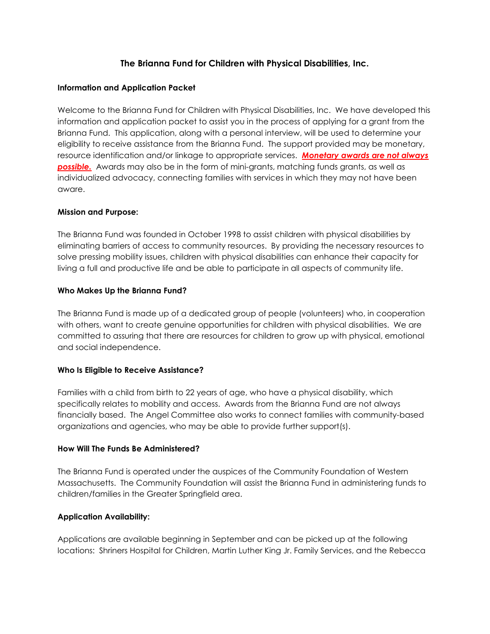# The Brianna Fund for Children with Physical Disabilities, Inc.

### Information and Application Packet

Welcome to the Brianna Fund for Children with Physical Disabilities, Inc. We have developed this information and application packet to assist you in the process of applying for a grant from the Brianna Fund. This application, along with a personal interview, will be used to determine your eligibility to receive assistance from the Brianna Fund. The support provided may be monetary, resource identification and/or linkage to appropriate services. Monetary awards are not always **possible.** Awards may also be in the form of mini-grants, matching funds grants, as well as individualized advocacy, connecting families with services in which they may not have been aware.

#### Mission and Purpose:

The Brianna Fund was founded in October 1998 to assist children with physical disabilities by eliminating barriers of access to community resources. By providing the necessary resources to solve pressing mobility issues, children with physical disabilities can enhance their capacity for living a full and productive life and be able to participate in all aspects of community life.

### Who Makes Up the Brianna Fund?

The Brianna Fund is made up of a dedicated group of people (volunteers) who, in cooperation with others, want to create genuine opportunities for children with physical disabilities. We are committed to assuring that there are resources for children to grow up with physical, emotional and social independence.

#### Who Is Eligible to Receive Assistance?

Families with a child from birth to 22 years of age, who have a physical disability, which specifically relates to mobility and access. Awards from the Brianna Fund are not always financially based. The Angel Committee also works to connect families with community-based organizations and agencies, who may be able to provide further support(s).

#### How Will The Funds Be Administered?

The Brianna Fund is operated under the auspices of the Community Foundation of Western Massachusetts. The Community Foundation will assist the Brianna Fund in administering funds to children/families in the Greater Springfield area.

#### Application Availability:

Applications are available beginning in September and can be picked up at the following locations: Shriners Hospital for Children, Martin Luther King Jr. Family Services, and the Rebecca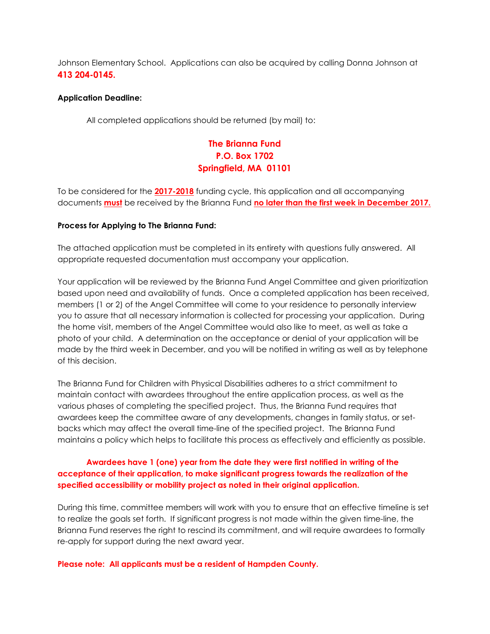Johnson Elementary School. Applications can also be acquired by calling Donna Johnson at 413 204-0145.

#### Application Deadline:

All completed applications should be returned (by mail) to:

# The Brianna Fund P.O. Box 1702 Springfield, MA 01101

To be considered for the 2017-2018 funding cycle, this application and all accompanying documents **must** be received by the Brianna Fund no later than the first week in December 2017.

#### Process for Applying to The Brianna Fund:

The attached application must be completed in its entirety with questions fully answered. All appropriate requested documentation must accompany your application.

Your application will be reviewed by the Brianna Fund Angel Committee and given prioritization based upon need and availability of funds. Once a completed application has been received, members (1 or 2) of the Angel Committee will come to your residence to personally interview you to assure that all necessary information is collected for processing your application. During the home visit, members of the Angel Committee would also like to meet, as well as take a photo of your child. A determination on the acceptance or denial of your application will be made by the third week in December, and you will be notified in writing as well as by telephone of this decision.

The Brianna Fund for Children with Physical Disabilities adheres to a strict commitment to maintain contact with awardees throughout the entire application process, as well as the various phases of completing the specified project. Thus, the Brianna Fund requires that awardees keep the committee aware of any developments, changes in family status, or setbacks which may affect the overall time-line of the specified project. The Brianna Fund maintains a policy which helps to facilitate this process as effectively and efficiently as possible.

# Awardees have 1 (one) year from the date they were first notified in writing of the acceptance of their application, to make significant progress towards the realization of the specified accessibility or mobility project as noted in their original application.

During this time, committee members will work with you to ensure that an effective timeline is set to realize the goals set forth. If significant progress is not made within the given time-line, the Brianna Fund reserves the right to rescind its commitment, and will require awardees to formally re-apply for support during the next award year.

#### Please note: All applicants must be a resident of Hampden County.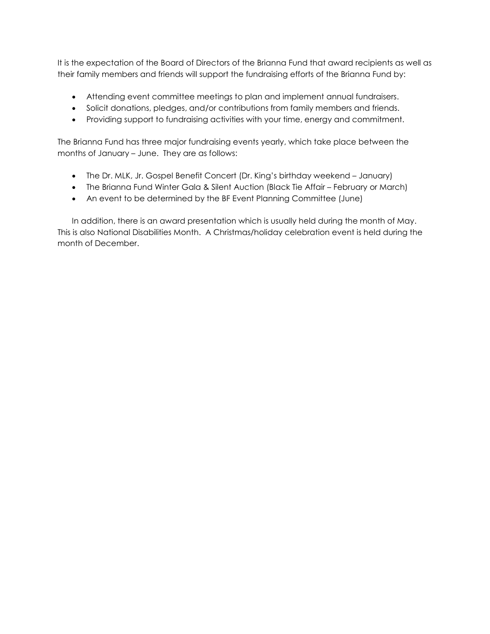It is the expectation of the Board of Directors of the Brianna Fund that award recipients as well as their family members and friends will support the fundraising efforts of the Brianna Fund by:

- Attending event committee meetings to plan and implement annual fundraisers.
- Solicit donations, pledges, and/or contributions from family members and friends.
- Providing support to fundraising activities with your time, energy and commitment.

The Brianna Fund has three major fundraising events yearly, which take place between the months of January – June. They are as follows:

- The Dr. MLK, Jr. Gospel Benefit Concert (Dr. King's birthday weekend January)
- The Brianna Fund Winter Gala & Silent Auction (Black Tie Affair February or March)
- An event to be determined by the BF Event Planning Committee (June)

In addition, there is an award presentation which is usually held during the month of May. This is also National Disabilities Month. A Christmas/holiday celebration event is held during the month of December.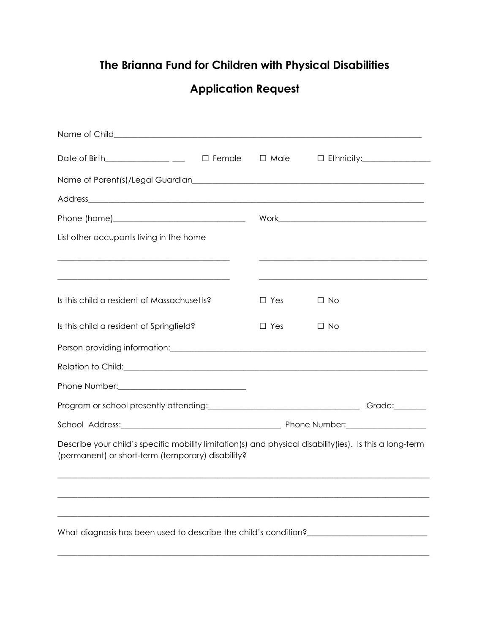# The Brianna Fund for Children with Physical Disabilities

# Application Request

| Date of Birth_______________ ___ $\Box$ Female $\Box$ Male                                                                                                   |  |            |           | $\Box$ Ethnicity: $\Box$ |
|--------------------------------------------------------------------------------------------------------------------------------------------------------------|--|------------|-----------|--------------------------|
|                                                                                                                                                              |  |            |           |                          |
|                                                                                                                                                              |  |            |           |                          |
|                                                                                                                                                              |  |            |           |                          |
| List other occupants living in the home                                                                                                                      |  |            |           |                          |
| <u> 1989 - Jan James James James James James James James James James James James James James James James James J</u>                                         |  |            |           |                          |
| Is this child a resident of Massachusetts?                                                                                                                   |  | $\Box$ Yes | $\Box$ No |                          |
| Is this child a resident of Springfield?                                                                                                                     |  | $\Box$ Yes | $\Box$ No |                          |
| Person providing information: example and a series of the series of the series of the series of the series of                                                |  |            |           |                          |
| Relation to Child: example and a series of the contract of the contract of the contract of the contract of the                                               |  |            |           |                          |
|                                                                                                                                                              |  |            |           |                          |
|                                                                                                                                                              |  |            |           |                          |
|                                                                                                                                                              |  |            |           |                          |
| Describe your child's specific mobility limitation(s) and physical disability(ies). Is this a long-term<br>(permanent) or short-term (temporary) disability? |  |            |           |                          |
|                                                                                                                                                              |  |            |           |                          |
|                                                                                                                                                              |  |            |           |                          |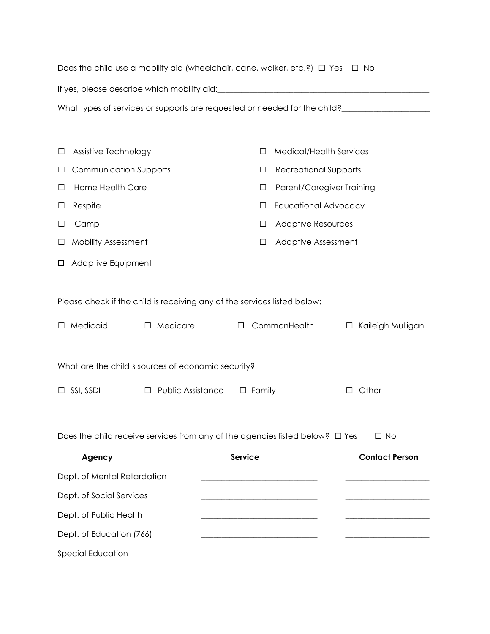| What types of services or supports are requested or needed for the child?___________________________<br><b>Medical/Health Services</b><br>П |
|---------------------------------------------------------------------------------------------------------------------------------------------|
|                                                                                                                                             |
|                                                                                                                                             |
|                                                                                                                                             |
|                                                                                                                                             |
| <b>Recreational Supports</b><br>⊔                                                                                                           |
| Parent/Caregiver Training<br>□                                                                                                              |
| <b>Educational Advocacy</b><br>⊔                                                                                                            |
| <b>Adaptive Resources</b><br>ப                                                                                                              |
| Adaptive Assessment<br>□                                                                                                                    |
|                                                                                                                                             |
|                                                                                                                                             |
| Please check if the child is receiving any of the services listed below:                                                                    |
| CommonHealth<br>Kaileigh Mulligan<br>$\Box$<br>$\Box$                                                                                       |
| What are the child's sources of economic security?                                                                                          |
| $\Box$ Family<br>Other<br>П                                                                                                                 |
|                                                                                                                                             |
|                                                                                                                                             |
| Does the child receive services from any of the agencies listed below? $\square$ Yes<br>$\Box$ No                                           |
| <b>Service</b><br><b>Contact Person</b>                                                                                                     |
|                                                                                                                                             |
|                                                                                                                                             |
|                                                                                                                                             |
|                                                                                                                                             |
|                                                                                                                                             |
|                                                                                                                                             |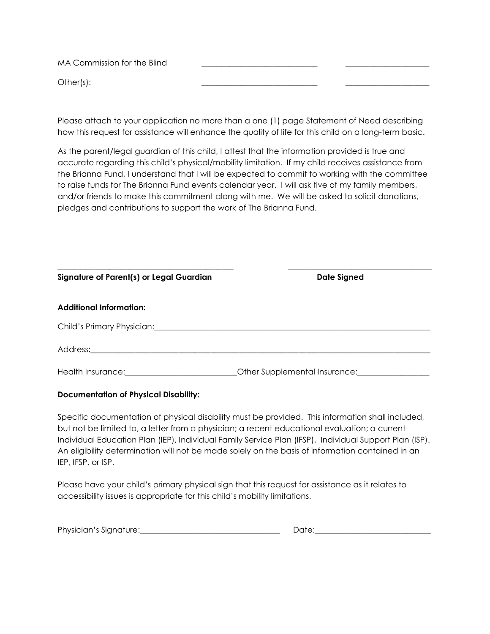MA Commission for the Blind

Other(s): \_\_\_\_\_\_\_\_\_\_\_\_\_\_\_\_\_\_\_\_\_\_\_\_\_\_\_\_\_ \_\_\_\_\_\_\_\_\_\_\_\_\_\_\_\_\_\_\_\_\_

Please attach to your application no more than a one (1) page Statement of Need describing how this request for assistance will enhance the quality of life for this child on a long-term basic.

As the parent/legal guardian of this child, I attest that the information provided is true and accurate regarding this child's physical/mobility limitation. If my child receives assistance from the Brianna Fund, I understand that I will be expected to commit to working with the committee to raise funds for The Brianna Fund events calendar year. I will ask five of my family members, and/or friends to make this commitment along with me. We will be asked to solicit donations, pledges and contributions to support the work of The Brianna Fund.

| Signature of Parent(s) or Legal Guardian                                                                                                                                                                                       | <b>Date Signed</b>                             |
|--------------------------------------------------------------------------------------------------------------------------------------------------------------------------------------------------------------------------------|------------------------------------------------|
| <b>Additional Information:</b>                                                                                                                                                                                                 |                                                |
| Child's Primary Physician: Manual Manual Manual Manual Manual Manual Manual Manual Manual Manual Manual Manual                                                                                                                 |                                                |
|                                                                                                                                                                                                                                |                                                |
| Health Insurance: The Contract of the Contract of the Contract of the Contract of the Contract of the Contract of the Contract of the Contract of the Contract of the Contract of the Contract of the Contract of the Contract | Other Supplemental Insurance: Change and China |

## Documentation of Physical Disability:

Specific documentation of physical disability must be provided. This information shall included, but not be limited to, a letter from a physician; a recent educational evaluation; a current Individual Education Plan (IEP), Individual Family Service Plan (IFSP), Individual Support Plan (ISP). An eligibility determination will not be made solely on the basis of information contained in an IEP, IFSP, or ISP.

Please have your child's primary physical sign that this request for assistance as it relates to accessibility issues is appropriate for this child's mobility limitations.

| Physician's Signature: |  |
|------------------------|--|
|------------------------|--|